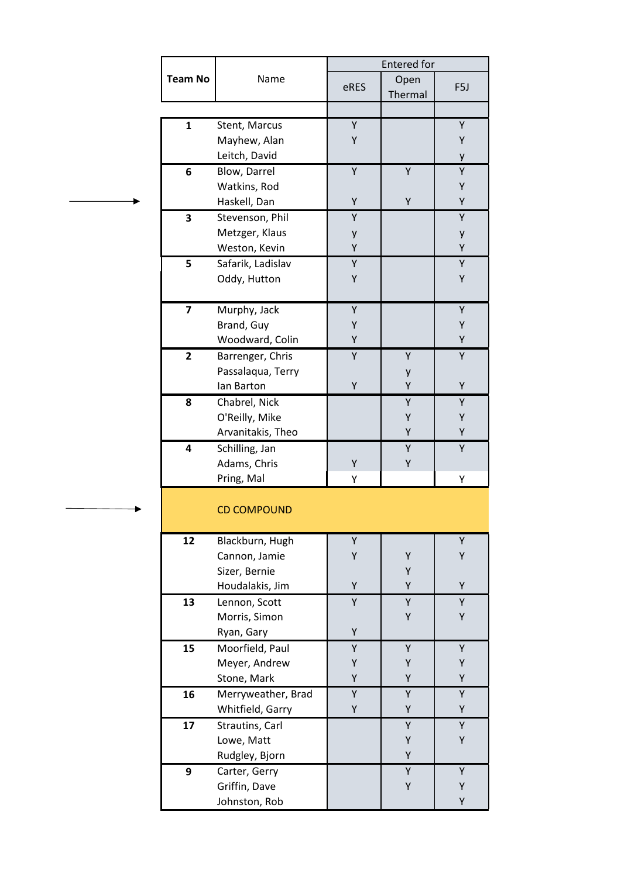|                | Name               | <b>Entered</b> for |         |                  |
|----------------|--------------------|--------------------|---------|------------------|
| <b>Team No</b> |                    |                    | Open    |                  |
|                |                    | eRES               | Thermal | F <sub>5</sub> J |
|                |                    |                    |         |                  |
| $\mathbf{1}$   | Stent, Marcus      | Υ                  |         | Υ                |
|                | Mayhew, Alan       | Y                  |         | Υ                |
|                | Leitch, David      |                    |         | у                |
| 6              | Blow, Darrel       | Υ                  | Υ       | Υ                |
|                | Watkins, Rod       |                    |         | Υ                |
|                | Haskell, Dan       | Y                  | Y       | Υ                |
| 3              | Stevenson, Phil    | Υ                  |         | Υ                |
|                | Metzger, Klaus     | у                  |         | у                |
|                | Weston, Kevin      | Υ                  |         | Y                |
| 5              | Safarik, Ladislav  | Υ                  |         | Υ                |
|                | Oddy, Hutton       | Υ                  |         | Υ                |
|                |                    |                    |         |                  |
| $\overline{7}$ | Murphy, Jack       | Υ                  |         | Υ                |
|                | Brand, Guy         | Υ                  |         | Υ                |
|                | Woodward, Colin    | Υ                  |         | Υ                |
| $\overline{2}$ | Barrenger, Chris   | Υ                  | Υ       | Υ                |
|                | Passalaqua, Terry  |                    | у       |                  |
|                | lan Barton         | Y                  | Y       | Υ                |
| 8              | Chabrel, Nick      |                    | Y       | Υ                |
|                | O'Reilly, Mike     |                    | Υ       | Υ                |
|                | Arvanitakis, Theo  |                    | Υ       | Υ                |
| 4              | Schilling, Jan     |                    | Y       | Y                |
|                | Adams, Chris       | Υ                  | Υ       |                  |
|                | Pring, Mal         | Υ                  |         | Υ                |
|                | <b>CD COMPOUND</b> |                    |         |                  |
|                |                    |                    |         |                  |
| 12             | Blackburn, Hugh    | Υ                  |         | Υ                |
|                | Cannon, Jamie      | Υ                  | Υ       | Υ                |
|                | Sizer, Bernie      |                    | Υ       |                  |
|                | Houdalakis, Jim    | Y                  | Υ       | Y                |
| 13             | Lennon, Scott      | Υ                  | Υ       | Υ                |
|                | Morris, Simon      |                    | Υ       | Υ                |
|                | Ryan, Gary         | Υ                  |         |                  |
| 15             | Moorfield, Paul    | Υ                  | Υ       | Υ                |
|                | Meyer, Andrew      | Υ                  | Υ       | Υ                |
|                | Stone, Mark        | Υ                  | Υ       | Υ                |
| 16             | Merryweather, Brad | Υ                  | Υ       | Υ                |
|                | Whitfield, Garry   | Υ                  | Υ       | Υ                |
| 17             | Strautins, Carl    |                    | Υ       | Υ                |
|                | Lowe, Matt         |                    | Υ       | Υ                |
|                | Rudgley, Bjorn     |                    | Υ       |                  |
| 9              | Carter, Gerry      |                    | Υ       | Y                |
|                | Griffin, Dave      |                    | Υ       | Υ                |
|                | Johnston, Rob      |                    |         | Υ                |

b